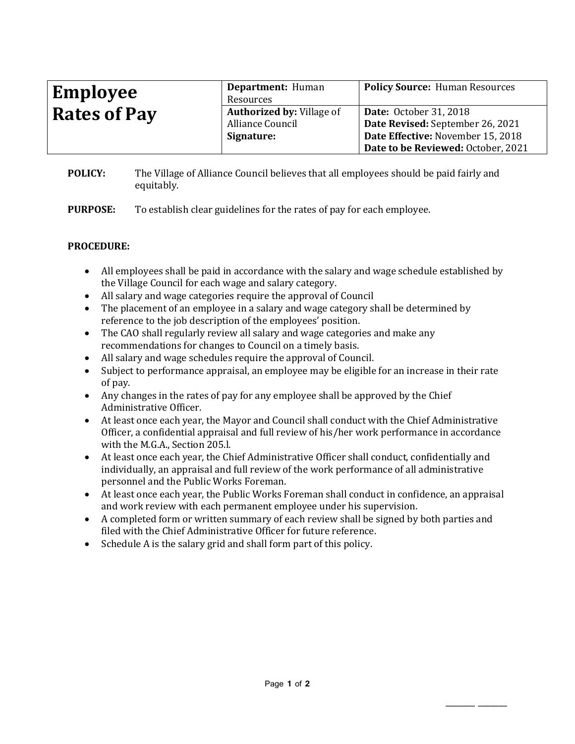| <b>Employee</b>     | Department: Human<br>Resources                       | <b>Policy Source: Human Resources</b>                             |
|---------------------|------------------------------------------------------|-------------------------------------------------------------------|
| <b>Rates of Pay</b> | <b>Authorized by: Village of</b><br>Alliance Council | <b>Date:</b> October 31, 2018<br>Date Revised: September 26, 2021 |
|                     | Signature:                                           | Date Effective: November 15, 2018                                 |
|                     |                                                      | Date to be Reviewed: October, 2021                                |

**POLICY:** The Village of Alliance Council believes that all employees should be paid fairly and equitably.

**PURPOSE:** To establish clear guidelines for the rates of pay for each employee.

## **PROCEDURE:**

- All employees shall be paid in accordance with the salary and wage schedule established by the Village Council for each wage and salary category.
- All salary and wage categories require the approval of Council
- The placement of an employee in a salary and wage category shall be determined by reference to the job description of the employees' position.
- The CAO shall regularly review all salary and wage categories and make any recommendations for changes to Council on a timely basis.
- All salary and wage schedules require the approval of Council.
- Subject to performance appraisal, an employee may be eligible for an increase in their rate of pay.
- Any changes in the rates of pay for any employee shall be approved by the Chief Administrative Officer.
- At least once each year, the Mayor and Council shall conduct with the Chief Administrative Officer, a confidential appraisal and full review of his/her work performance in accordance with the M.G.A., Section 205.l.
- At least once each year, the Chief Administrative Officer shall conduct, confidentially and individually, an appraisal and full review of the work performance of all administrative personnel and the Public Works Foreman.
- At least once each year, the Public Works Foreman shall conduct in confidence, an appraisal and work review with each permanent employee under his supervision.
- A completed form or written summary of each review shall be signed by both parties and filed with the Chief Administrative Officer for future reference.
- Schedule A is the salary grid and shall form part of this policy.

\_\_\_\_\_\_\_ \_\_\_\_\_\_\_